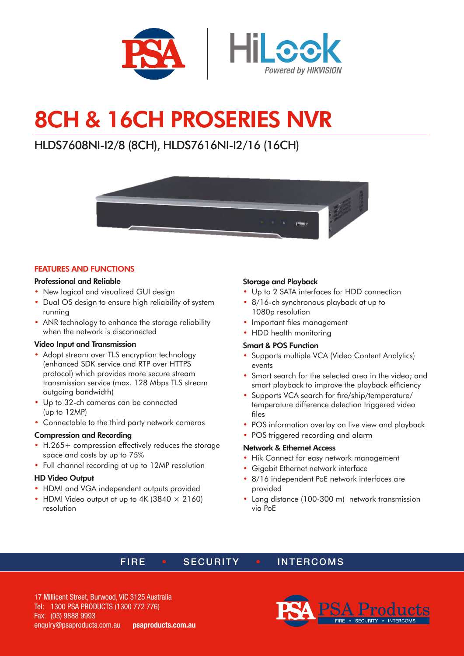

# 8CH & 16CH PROSERIES NVR

# HLDS7608NI-I2/8 (8CH), HLDS7616NI-I2/16 (16CH)



#### FEATURES AND FUNCTIONS

#### Professional and Reliable

- New logical and visualized GUI design
- Dual OS design to ensure high reliability of system running
- ANR technology to enhance the storage reliability when the network is disconnected

#### Video Input and Transmission

- Adopt stream over TLS encryption technology (enhanced SDK service and RTP over HTTPS protocol) which provides more secure stream transmission service (max. 128 Mbps TLS stream outgoing bandwidth)
- Up to 32-ch cameras can be connected (up to 12MP)
- Connectable to the third party network cameras

#### Compression and Recording

- H.265+ compression effectively reduces the storage space and costs by up to 75%
- Full channel recording at up to 12MP resolution

#### HD Video Output

- HDMI and VGA independent outputs provided
- HDMI Video output at up to 4K (3840  $\times$  2160) resolution

#### Storage and Playback

- Up to 2 SATA interfaces for HDD connection
- 8/16-ch synchronous playback at up to 1080p resolution
- Important files management
- HDD health monitoring

#### Smart & POS Function

- Supports multiple VCA (Video Content Analytics) events
- Smart search for the selected area in the video; and smart playback to improve the playback efficiency
- Supports VCA search for fire/ship/temperature/ temperature difference detection triggered video files
- POS information overlay on live view and playback
- POS triggered recording and alarm

#### Network & Ethernet Access

- Hik Connect for easy network management
- Gigabit Ethernet network interface
- 8/16 independent PoE network interfaces are provided
- Long distance (100-300 m) network transmission via PoE

## FIRE • SECURITY • INTERCOMS

17 Millicent Street, Burwood, VIC 3125 Australia Tel: 1300 PSA PRODUCTS (1300 772 776) Fax: (03) 9888 9993 enquiry@psaproducts.com.au psaproducts.com.au

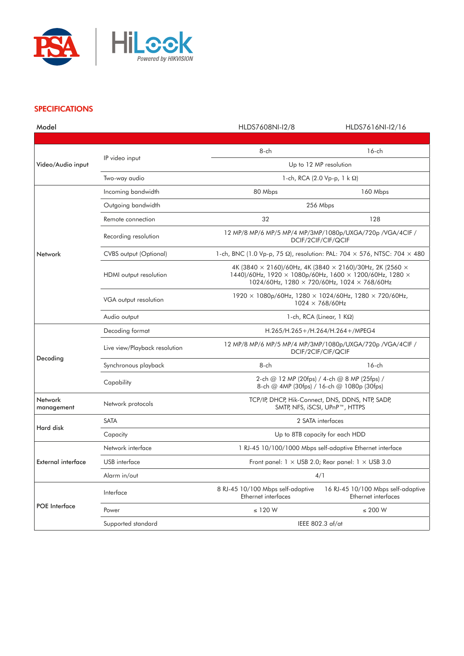

### **SPECIFICATIONS**

| Model                     |                               | HLDS7608NI-I2/8                                                                                                                                                                  | HLDS7616NI-I2/16                                          |
|---------------------------|-------------------------------|----------------------------------------------------------------------------------------------------------------------------------------------------------------------------------|-----------------------------------------------------------|
|                           |                               |                                                                                                                                                                                  |                                                           |
| Video/Audio input         | IP video input                | 8-ch                                                                                                                                                                             | $16$ -ch                                                  |
|                           |                               | Up to 12 MP resolution                                                                                                                                                           |                                                           |
|                           | Two-way audio                 | 1-ch, RCA (2.0 Vp-p, $1 \text{ k } \Omega$ )                                                                                                                                     |                                                           |
|                           | Incoming bandwidth            | 80 Mbps                                                                                                                                                                          | 160 Mbps                                                  |
|                           | Outgoing bandwidth            | 256 Mbps                                                                                                                                                                         |                                                           |
| Network                   | Remote connection             | 32                                                                                                                                                                               | 128                                                       |
|                           | Recording resolution          | 12 MP/8 MP/6 MP/5 MP/4 MP/3MP/1080p/UXGA/720p /VGA/4CIF /<br>DCIF/2CIF/CIF/QCIF                                                                                                  |                                                           |
|                           | <b>CVBS</b> output (Optional) | 1-ch, BNC (1.0 Vp-p, 75 $\Omega$ ), resolution: PAL: 704 $\times$ 576, NTSC: 704 $\times$ 480                                                                                    |                                                           |
|                           | HDMI output resolution        | 4K (3840 × 2160)/60Hz, 4K (3840 × 2160)/30Hz, 2K (2560 ×<br>1440)/60Hz, 1920 × 1080p/60Hz, 1600 × 1200/60Hz, 1280 ×<br>1024/60Hz, 1280 $\times$ 720/60Hz, 1024 $\times$ 768/60Hz |                                                           |
|                           | VGA output resolution         | 1920 × 1080p/60Hz, 1280 × 1024/60Hz, 1280 × 720/60Hz,<br>$1024 \times 768/60$ Hz                                                                                                 |                                                           |
|                           | Audio output                  | 1-ch, RCA (Linear, $1$ K $\Omega$ )                                                                                                                                              |                                                           |
|                           | Decoding format               | H.265/H.265+/H.264/H.264+/MPEG4                                                                                                                                                  |                                                           |
|                           | Live view/Playback resolution | 12 MP/8 MP/6 MP/5 MP/4 MP/3MP/1080p/UXGA/720p /VGA/4CIF /<br>DCIF/2CIF/CIF/QCIF                                                                                                  |                                                           |
| Decoding                  | Synchronous playback          | 8-ch                                                                                                                                                                             | $16$ -ch                                                  |
|                           | Capability                    | 2-ch @ 12 MP (20fps) / 4-ch @ 8 MP (25fps) /<br>8-ch @ 4MP (30fps) / 16-ch @ 1080p (30fps)                                                                                       |                                                           |
| Network<br>management     | Network protocols             | TCP/IP, DHCP, Hik-Connect, DNS, DDNS, NTP, SADP,<br>SMTP, NFS, iSCSI, UPnP™, HTTPS                                                                                               |                                                           |
| Hard disk                 | <b>SATA</b>                   | 2 SATA interfaces                                                                                                                                                                |                                                           |
|                           | Capacity                      | Up to 8TB capacity for each HDD                                                                                                                                                  |                                                           |
| <b>External interface</b> | Network interface             | 1 RJ-45 10/100/1000 Mbps self-adaptive Ethernet interface                                                                                                                        |                                                           |
|                           | USB interface                 | Front panel: $1 \times$ USB 2.0; Rear panel: $1 \times$ USB 3.0                                                                                                                  |                                                           |
|                           | Alarm in/out                  | 4/1                                                                                                                                                                              |                                                           |
| <b>POE</b> Interface      | Interface                     | 8 RJ-45 10/100 Mbps self-adaptive<br>Ethernet interfaces                                                                                                                         | 16 RJ-45 10/100 Mbps self-adaptive<br>Ethernet interfaces |
|                           | Power                         | $\leq$ 120 W                                                                                                                                                                     | $\leq$ 200 W                                              |
|                           | Supported standard            | IEEE 802.3 af/at                                                                                                                                                                 |                                                           |